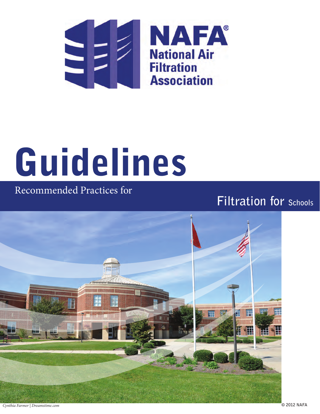

# Guidelines

# Recommended Practices for

# **Filtration for Schools**

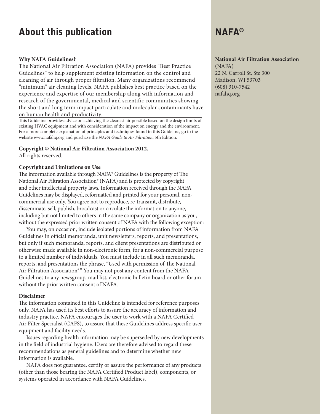# About this publication and a series of  $NAFA^{\circledcirc}$

#### **Why NAFA Guidelines?**

The National Air Filtration Association (NAFA) provides "Best Practice Guidelines" to help supplement existing information on the control and cleaning of air through proper filtration. Many organizations recommend "minimum" air cleaning levels. NAFA publishes best practice based on the experience and expertise of our membership along with information and research of the governmental, medical and scientific communities showing the short and long term impact particulate and molecular contaminants have on human health and productivity.

This Guideline provides advice on achieving the cleanest air possible based on the design limits of existing HVAC equipment and with consideration of the impact on energy and the environment. For a more complete explanation of principles and techniques found in this Guideline, go to the website www.nafahq.org and purchase the *NAFA Guide to Air Filtration*, 5th Edition.

#### **Copyright © National Air Filtration Association 2012.**

All rights reserved.

#### **Copyright and Limitations on Use**

The information available through NAFA® Guidelines is the property of The National Air Filtration Association® (NAFA) and is protected by copyright and other intellectual property laws. Information received through the NAFA Guidelines may be displayed, reformatted and printed for your personal, noncommercial use only. You agree not to reproduce, re-transmit, distribute, disseminate, sell, publish, broadcast or circulate the information to anyone, including but not limited to others in the same company or organization as you, without the expressed prior written consent of NAFA with the following exception:

You may, on occasion, include isolated portions of information from NAFA Guidelines in official memoranda, unit newsletters, reports, and presentations, but only if such memoranda, reports, and client presentations are distributed or otherwise made available in non-electronic form, for a non-commercial purpose to a limited number of individuals. You must include in all such memoranda, reports, and presentations the phrase, "Used with permission of The National Air Filtration Association®." You may not post any content from the NAFA Guidelines to any newsgroup, mail list, electronic bulletin board or other forum without the prior written consent of NAFA.

#### **Disclaimer**

The information contained in this Guideline is intended for reference purposes only. NAFA has used its best efforts to assure the accuracy of information and industry practice. NAFA encourages the user to work with a NAFA Certified Air Filter Specialist (CAFS), to assure that these Guidelines address specific user equipment and facility needs.

Issues regarding health information may be superseded by new developments in the field of industrial hygiene. Users are therefore advised to regard these recommendations as general guidelines and to determine whether new information is available.

NAFA does not guarantee, certify or assure the performance of any products (other than those bearing the NAFA Certified Product label), components, or systems operated in accordance with NAFA Guidelines.

#### **National Air Filtration Association**

(NAFA) 22 N. Carroll St, Ste 300 Madison, WI 53703 (608) 310-7542 nafahq.org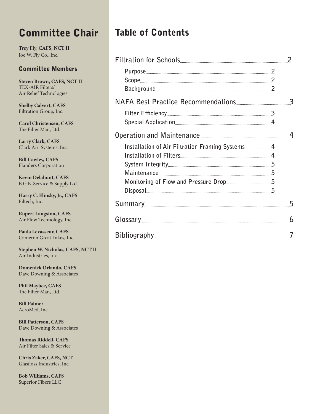# Committee Chair Table of Contents

**Trey Fly, CAFS, NCT II** Joe W. Fly Co., Inc.

#### Committee Members

**Steven Brown, CAFS, NCT II** TEX-AIR Filters/ Air Relief Technologies

**Shelby Calvert, CAFS** Filtration Group, Inc.

**Carol Christensen, CAFS** The Filter Man, Ltd.

**Larry Clark, CAFS** Clark Air Systems, Inc.

**Bill Cawley, CAFS** Flanders Corporation

**Kevin Delahunt, CAFS** B.G.E. Service & Supply Ltd.

**Harry C. Elinsky, Jr., CAFS** Filtech, Inc.

**Rupert Langston, CAFS** Air Flow Technology, Inc.

**Paula Levasseur, CAFS** Cameron Great Lakes, Inc.

**Stephen W. Nicholas, CAFS, NCT II** Air Industries, Inc.

**Domenick Orlando, CAFS** Dave Downing & Associates

**Phil Maybee, CAFS** The Filter Man, Ltd.

**Bill Palmer** AeroMed, Inc.

**Bill Patterson, CAFS** Dave Downing & Associates

**Thomas Riddell, CAFS** Air Filter Sales & Service

**Chris Zaker, CAFS, NCT** Glasfloss Industries, Inc.

**Bob Williams, CAFS** Superior Fibers LLC

|  | $\mathcal{P}$ |
|--|---------------|
|  |               |
|  |               |
|  |               |
|  |               |
|  |               |
|  |               |
|  |               |
|  |               |
|  |               |
|  |               |
|  |               |
|  |               |
|  |               |
|  | 5             |
|  | 6             |
|  |               |
|  |               |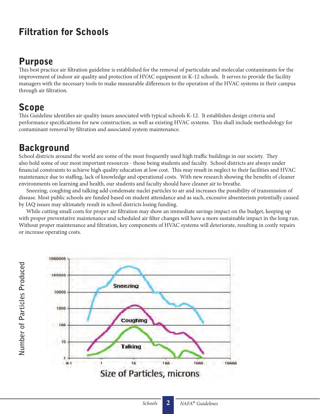# Filtration for Schools

# Purpose

This best practice air filtration guideline is established for the removal of particulate and molecular contaminants for the improvement of indoor air quality and protection of HVAC equipment in K-12 schools. It serves to provide the facility managers with the necessary tools to make measurable differences to the operation of the HVAC systems in their campus through air filtration.

# Scope

**Number of Particles Produced**

Number of Particles Produced

This Guideline identifies air quality issues associated with typical schools K-12. It establishes design criteria and performance specifications for new construction, as well as existing HVAC systems. This shall include methodology for contaminant removal by filtration and associated system maintenance.

# **Background**

School districts around the world are some of the most frequently used high traffic buildings in our society. They also hold some of our most important resources - those being students and faculty. School districts are always under financial constraints to achieve high quality education at low cost. This may result in neglect to their facilities and HVAC maintenance due to staffing, lack of knowledge and operational costs. With new research showing the benefits of cleaner environments on learning and health, our students and faculty should have cleaner air to breathe.

Sneezing, coughing and talking add condensate nuclei particles to air and increases the possibility of transmission of disease. Most public schools are funded based on student attendance and as such, excessive absenteeism potentially caused by IAQ issues may ultimately result in school districts losing funding.

While cutting small costs for proper air filtration may show an immediate savings impact on the budget, keeping up with proper preventative maintenance and scheduled air filter changes will have a more sustainable impact in the long run. Without proper maintenance and filtration, key components of HVAC systems will deteriorate, resulting in costly repairs or increase operating costs.

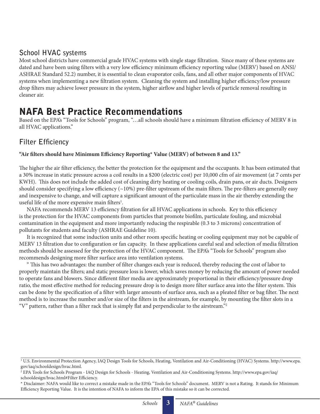#### **School HVAC systems**

Most school districts have commercial grade HVAC systems with single stage filtration. Since many of these systems are dated and have been using filters with a very low efficiency minimum efficiency reporting value (MERV) based on ANSI/ ASHRAE Standard 52.2) number, it is essential to clean evaporator coils, fans, and all other major components of HVAC systems when implementing a new filtration system. Cleaning the system and installing higher efficiency/low pressure drop filters may achieve lower pressure in the system, higher airflow and higher levels of particle removal resulting in cleaner air.

# NAFA Best Practice Recommendations

Based on the EPA's "Tools for Schools" program, "…all schools should have a minimum filtration efficiency of MERV 8 in all HVAC applications."

### **Filter Efficiency**

#### **"Air filters should have Minimum Efficiency Reporting\* Value (MERV) of between 8 and 13."**

The higher the air filter efficiency, the better the protection for the equipment and the occupants. It has been estimated that a 30% increase in static pressure across a coil results in a \$200 (electric cost) per 10,000 cfm of air movement (at 7 cents per KWH). This does not include the added cost of cleaning dirty heating or cooling coils, drain pans, or air ducts. Designers should consider specifying a low efficiency  $(\sim 10\%)$  pre-filter upstream of the main filters. The pre-filters are generally easy and inexpensive to change, and will capture a significant amount of the particulate mass in the air thereby extending the useful life of the more expensive main filters<sup>1</sup>.

NAFA recommends MERV 13 efficiency filtration for all HVAC applications in schools. Key to this efficiency is the protection for the HVAC components from particles that promote biofilm, particulate fouling, and microbial contamination in the equipment and more importantly reducing the respirable (0.3 to 3 microns) concentration of pollutants for students and faculty (ASHRAE Guideline 10).

It is recognized that some induction units and other room specific heating or cooling equipment may not be capable of MERV 13 filtration due to configuration or fan capacity. In these applications careful seal and selection of media filtration methods should be assessed for the protection of the HVAC component. The EPA's "Tools for Schools" program also recommends designing more filter surface area into ventilation systems.

" This has two advantages: the number of filter changes each year is reduced, thereby reducing the cost of labor to properly maintain the filters; and static pressure loss is lower, which saves money by reducing the amount of power needed to operate fans and blowers. Since different filter media are approximately proportional in their efficiency/pressure drop ratio, the most effective method for reducing pressure drop is to design more filter surface area into the filter system. This can be done by the specification of a filter with larger amounts of surface area, such as a pleated filter or bag filter. The next method is to increase the number and/or size of the filters in the airstream, for example, by mounting the filter slots in a "V" pattern, rather than a filter rack that is simply flat and perpendicular to the airstream."2

<sup>1</sup> U.S. Environmental Protection Agency, IAQ Design Tools for Schools, Heating, Ventilation and Air-Conditioning (HVAC) Systems. http://www.epa. gov/iaq/schooldesign/hvac.html.

<sup>2</sup> EPA Tools for Schools Program - IAQ Design for Schools - Heating, Ventilation and Air-Conditioning Systems. http://www.epa.gov/iaq/ schooldesign/hvac.html#Filter Efficiency.

<sup>\*</sup> Disclaimer: NAFA would like to correct a mistake made in the EPA's "Tools for Schools" document. MERV is not a Rating. It stands for Minimum Efficiency Reporting Value. It is the intention of NAFA to inform the EPA of this mistake so it can be corrected.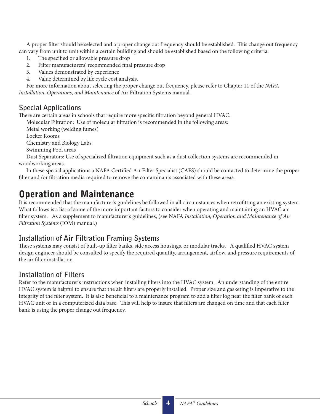A proper filter should be selected and a proper change out frequency should be established. This change out frequency can vary from unit to unit within a certain building and should be established based on the following criteria:

- 1. The specified or allowable pressure drop
- 2. Filter manufacturers' recommended final pressure drop
- 3. Values demonstrated by experience
- 4. Value determined by life cycle cost analysis.

For more information about selecting the proper change out frequency, please refer to Chapter 11 of the *NAFA Installation, Operations, and Maintenance* of Air Filtration Systems manual.

#### **Special Applications**

There are certain areas in schools that require more specific filtration beyond general HVAC.

Molecular Filtration: Use of molecular filtration is recommended in the following areas:

Metal working (welding fumes)

Locker Rooms

Chemistry and Biology Labs

Swimming Pool areas

Dust Separators: Use of specialized filtration equipment such as a dust collection systems are recommended in woodworking areas.

In these special applications a NAFA Certified Air Filter Specialist (CAFS) should be contacted to determine the proper filter and /or filtration media required to remove the contaminants associated with these areas.

# Operation and Maintenance

It is recommended that the manufacturer's guidelines be followed in all circumstances when retrofitting an existing system. What follows is a list of some of the more important factors to consider when operating and maintaining an HVAC air filter system. As a supplement to manufacturer's guidelines, (see NAFA *Installation, Operation and Maintenance of Air Filtration Systems* (IOM) manual.)

#### **Installation of Air Filtration Framing Systems**

These systems may consist of built-up filter banks, side access housings, or modular tracks. A qualified HVAC system design engineer should be consulted to specify the required quantity, arrangement, airflow, and pressure requirements of the air filter installation.

#### **Installation of Filters**

Refer to the manufacturer's instructions when installing filters into the HVAC system. An understanding of the entire HVAC system is helpful to ensure that the air filters are properly installed. Proper size and gasketing is imperative to the integrity of the filter system. It is also beneficial to a maintenance program to add a filter log near the filter bank of each HVAC unit or in a computerized data base. This will help to insure that filters are changed on time and that each filter bank is using the proper change out frequency.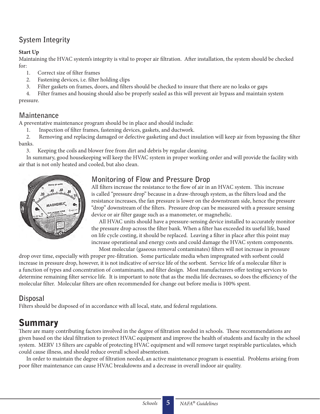# **System Integrity**

#### **Start Up**

Maintaining the HVAC system's integrity is vital to proper air filtration. After installation, the system should be checked for:

- 1. Correct size of filter frames
- 2. Fastening devices, i.e. filter holding clips
- 3. Filter gaskets on frames, doors, and filters should be checked to insure that there are no leaks or gaps
- 4. Filter frames and housing should also be properly sealed as this will prevent air bypass and maintain system pressure.

# **Maintenance**

A preventative maintenance program should be in place and should include:

1. Inspection of filter frames, fastening devices, gaskets, and ductwork.

2. Removing and replacing damaged or defective gasketing and duct insulation will keep air from bypassing the filter banks.

3. Keeping the coils and blower free from dirt and debris by regular cleaning.

In summary, good housekeeping will keep the HVAC system in proper working order and will provide the facility with air that is not only heated and cooled, but also clean.



## **Monitoring of Flow and Pressure Drop**

All filters increase the resistance to the flow of air in an HVAC system. This increase is called "pressure drop" because in a draw-through system, as the filters load and the resistance increases, the fan pressure is lower on the downstream side, hence the pressure "drop" downstream of the filters. Pressure drop can be measured with a pressure sensing device or air filter gauge such as a manometer, or magnehelic.

All HVAC units should have a pressure-sensing device installed to accurately monitor the pressure drop across the filter bank. When a filter has exceeded its useful life, based on life cycle costing, it should be replaced. Leaving a filter in place after this point may increase operational and energy costs and could damage the HVAC system components.

Most molecular (gaseous removal contaminates) filters will not increase in pressure drop over time, especially with proper pre-filtration. Some particulate media when impregnated with sorbent could increase in pressure drop, however, it is not indicative of service life of the sorbent. Service life of a molecular filter is a function of types and concentration of contaminants, and filter design. Most manufacturers offer testing services to determine remaining filter service life. It is important to note that as the media life decreases, so does the efficiency of the molecular filter. Molecular filters are often recommended for change out before media is 100% spent.

## **Disposal**

Filters should be disposed of in accordance with all local, state, and federal regulations.

# Summary

There are many contributing factors involved in the degree of filtration needed in schools. These recommendations are given based on the ideal filtration to protect HVAC equipment and improve the health of students and faculty in the school system. MERV 13 filters are capable of protecting HVAC equipment and will remove target respirable particulates, which could cause illness, and should reduce overall school absenteeism.

In order to maintain the degree of filtration needed, an active maintenance program is essential. Problems arising from poor filter maintenance can cause HVAC breakdowns and a decrease in overall indoor air quality.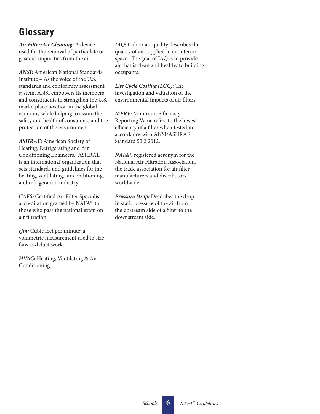# **Glossary**

*Air Filter/Air Cleaning:* A device used for the removal of particulate or gaseous impurities from the air.

*ANSI:* American National Standards Institute – As the voice of the U.S. standards and conformity assessment system, ANSI empowers its members and constituents to strengthen the U.S. marketplace position in the global economy while helping to assure the safety and health of consumers and the protection of the environment.

*ASHRAE:* American Society of Heating, Refrigerating and Air Conditioning Engineers. ASHRAE is an international organization that sets standards and guidelines for the heating, ventilating, air conditioning, and refrigeration industry.

*CAFS:* Certified Air Filter Specialist accreditation granted by NAFA® to those who pass the national exam on air filtration.

*cfm:* Cubic feet per minute; a volumetric measurement used to size fans and duct work.

*HVAC:* Heating, Ventilating & Air Conditioning

*IAQ:* Indoor air quality describes the quality of air supplied to an interior space. The goal of IAQ is to provide air that is clean and healthy to building occupants.

*Life Cycle Costing (LCC):* The investigation and valuation of the environmental impacts of air filters.

*MERV:* Minimum Efficiency Reporting Value refers to the lowest efficiency of a filter when tested in accordance with ANSI/ASHRAE Standard 52.2 2012.

*NAFA®:* registered acronym for the National Air Filtration Association, the trade association for air filter manufacturers and distributors, worldwide.

*Pressure Drop:* Describes the drop in static pressure of the air from the upstream side of a filter to the downstream side.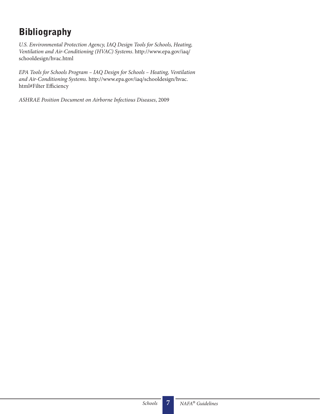# Bibliography

*U.S. Environmental Protection Agency, IAQ Design Tools for Schools, Heating, Ventilation and Air-Conditioning (HVAC) Systems*. http://www.epa.gov/iaq/ schooldesign/hvac.html

*EPA Tools for Schools Program – IAQ Design for Schools – Heating, Ventilation and Air-Conditioning Systems*. http://www.epa.gov/iaq/schooldesign/hvac. html#Filter Efficiency

*ASHRAE Position Document on Airborne Infectious Diseases*, 2009